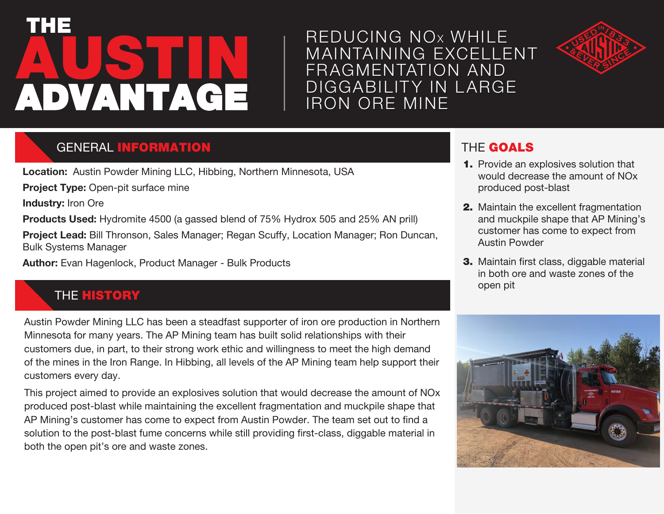# **AUSTIN** THE ADVANTAGE

## REDUCING NO<sup>x</sup> WHILE MAINTAINING EXCELLENT FRAGMENTATION AND DIGGABILITY IN LARGE IRON ORE MINE



## GENERAL INFORMATION

**Location:** Austin Powder Mining LLC, Hibbing, Northern Minnesota, USA

**Project Type:** Open-pit surface mine

**Industry:** Iron Ore

**Products Used:** Hydromite 4500 (a gassed blend of 75% Hydrox 505 and 25% AN prill)

**Project Lead:** Bill Thronson, Sales Manager; Regan Scuffy, Location Manager; Ron Duncan, Bulk Systems Manager

**Author:** Evan Hagenlock, Product Manager - Bulk Products

## **THE HISTORY**

Austin Powder Mining LLC has been a steadfast supporter of iron ore production in Northern Minnesota for many years. The AP Mining team has built solid relationships with their customers due, in part, to their strong work ethic and willingness to meet the high demand of the mines in the Iron Range. In Hibbing, all levels of the AP Mining team help support their customers every day.

This project aimed to provide an explosives solution that would decrease the amount of NOx produced post-blast while maintaining the excellent fragmentation and muckpile shape that AP Mining's customer has come to expect from Austin Powder. The team set out to find a solution to the post-blast fume concerns while still providing first-class, diggable material in both the open pit's ore and waste zones.

## THE GOALS

- 1. Provide an explosives solution that would decrease the amount of NOx produced post-blast
- 2. Maintain the excellent fragmentation and muckpile shape that AP Mining's customer has come to expect from Austin Powder
- 3. Maintain first class, diggable material in both ore and waste zones of the open pit

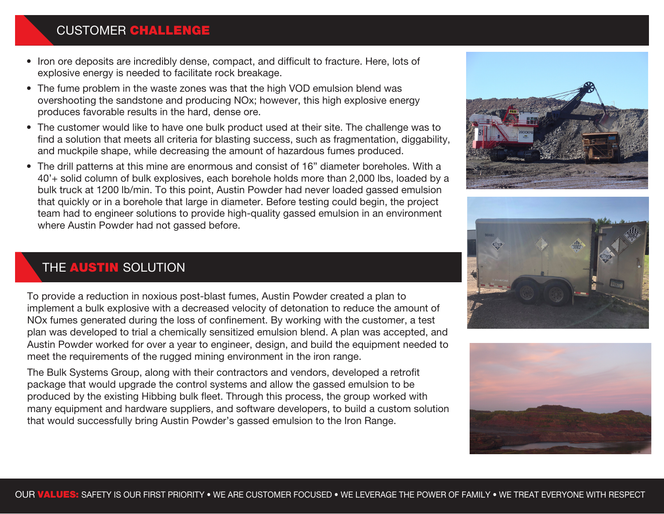#### CUSTOMER **CHALLENGE**

- Iron ore deposits are incredibly dense, compact, and difficult to fracture. Here, lots of explosive energy is needed to facilitate rock breakage.
- The fume problem in the waste zones was that the high VOD emulsion blend was overshooting the sandstone and producing NOx; however, this high explosive energy produces favorable results in the hard, dense ore.
- The customer would like to have one bulk product used at their site. The challenge was to find a solution that meets all criteria for blasting success, such as fragmentation, diggability, and muckpile shape, while decreasing the amount of hazardous fumes produced.
- The drill patterns at this mine are enormous and consist of 16" diameter boreholes. With a 40'+ solid column of bulk explosives, each borehole holds more than 2,000 lbs, loaded by a bulk truck at 1200 lb/min. To this point, Austin Powder had never loaded gassed emulsion that quickly or in a borehole that large in diameter. Before testing could begin, the project team had to engineer solutions to provide high-quality gassed emulsion in an environment where Austin Powder had not gassed before.

### THE **AUSTIN** SOLUTION

To provide a reduction in noxious post-blast fumes, Austin Powder created a plan to implement a bulk explosive with a decreased velocity of detonation to reduce the amount of NOx fumes generated during the loss of confinement. By working with the customer, a test plan was developed to trial a chemically sensitized emulsion blend. A plan was accepted, and Austin Powder worked for over a year to engineer, design, and build the equipment needed to meet the requirements of the rugged mining environment in the iron range.

The Bulk Systems Group, along with their contractors and vendors, developed a retrofit package that would upgrade the control systems and allow the gassed emulsion to be produced by the existing Hibbing bulk fleet. Through this process, the group worked with many equipment and hardware suppliers, and software developers, to build a custom solution that would successfully bring Austin Powder's gassed emulsion to the Iron Range.